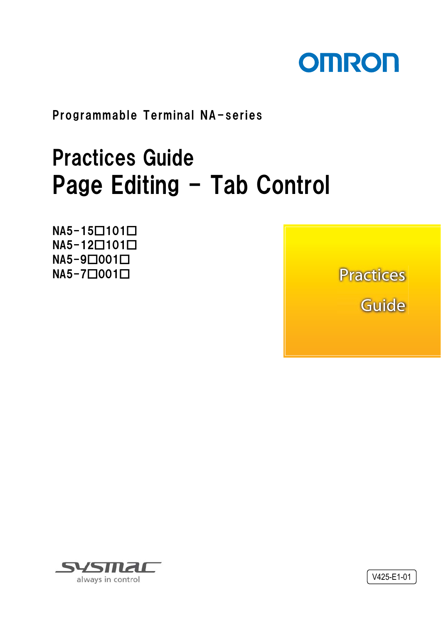

Programmable Terminal NA-series

# Practices Guide Page Editing - Tab Control

NA5-15□101□ NA5-12□101□ NA5-9□001□ NA5-7□001□

**Practices** Guide



V425-E1-01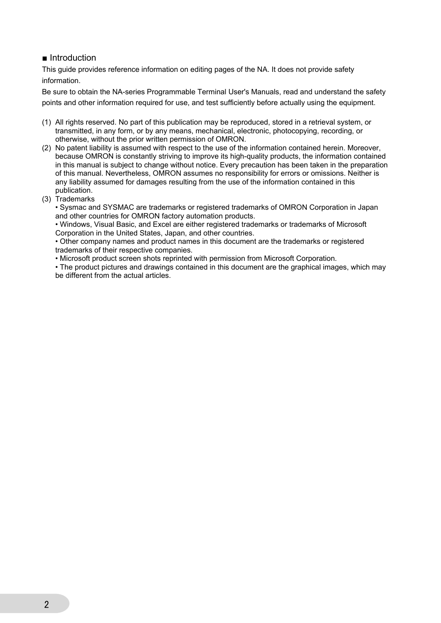#### ■ Introduction

This guide provides reference information on editing pages of the NA. It does not provide safety information.

Be sure to obtain the NA-series Programmable Terminal User's Manuals, read and understand the safety points and other information required for use, and test sufficiently before actually using the equipment.

- (1) All rights reserved. No part of this publication may be reproduced, stored in a retrieval system, or transmitted, in any form, or by any means, mechanical, electronic, photocopying, recording, or otherwise, without the prior written permission of OMRON.
- (2) No patent liability is assumed with respect to the use of the information contained herein. Moreover, because OMRON is constantly striving to improve its high-quality products, the information contained in this manual is subject to change without notice. Every precaution has been taken in the preparation of this manual. Nevertheless, OMRON assumes no responsibility for errors or omissions. Neither is any liability assumed for damages resulting from the use of the information contained in this publication.
- (3) Trademarks

• Sysmac and SYSMAC are trademarks or registered trademarks of OMRON Corporation in Japan and other countries for OMRON factory automation products.

• Windows, Visual Basic, and Excel are either registered trademarks or trademarks of Microsoft Corporation in the United States, Japan, and other countries.

• Other company names and product names in this document are the trademarks or registered trademarks of their respective companies.

• Microsoft product screen shots reprinted with permission from Microsoft Corporation.

• The product pictures and drawings contained in this document are the graphical images, which may be different from the actual articles.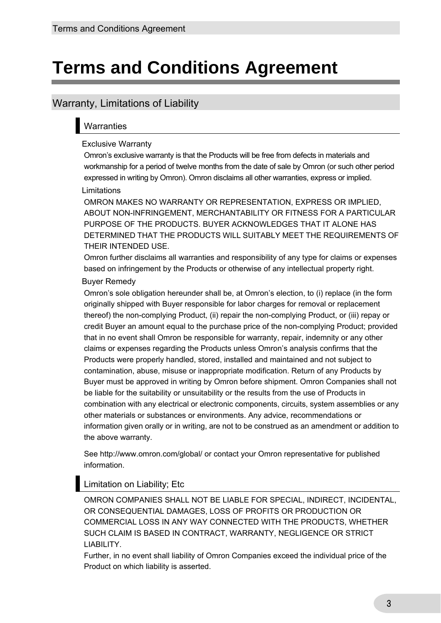## **Terms and Conditions Agreement**

#### Warranty, Limitations of Liability

#### **Warranties**

#### Exclusive Warranty

Omron's exclusive warranty is that the Products will be free from defects in materials and workmanship for a period of twelve months from the date of sale by Omron (or such other period expressed in writing by Omron). Omron disclaims all other warranties, express or implied.

#### Limitations

OMRON MAKES NO WARRANTY OR REPRESENTATION, EXPRESS OR IMPLIED, ABOUT NON-INFRINGEMENT, MERCHANTABILITY OR FITNESS FOR A PARTICULAR PURPOSE OF THE PRODUCTS. BUYER ACKNOWLEDGES THAT IT ALONE HAS DETERMINED THAT THE PRODUCTS WILL SUITABLY MEET THE REQUIREMENTS OF THEIR INTENDED USE.

Omron further disclaims all warranties and responsibility of any type for claims or expenses based on infringement by the Products or otherwise of any intellectual property right.

#### Buyer Remedy

Omron's sole obligation hereunder shall be, at Omron's election, to (i) replace (in the form originally shipped with Buyer responsible for labor charges for removal or replacement thereof) the non-complying Product, (ii) repair the non-complying Product, or (iii) repay or credit Buyer an amount equal to the purchase price of the non-complying Product; provided that in no event shall Omron be responsible for warranty, repair, indemnity or any other claims or expenses regarding the Products unless Omron's analysis confirms that the Products were properly handled, stored, installed and maintained and not subject to contamination, abuse, misuse or inappropriate modification. Return of any Products by Buyer must be approved in writing by Omron before shipment. Omron Companies shall not be liable for the suitability or unsuitability or the results from the use of Products in combination with any electrical or electronic components, circuits, system assemblies or any other materials or substances or environments. Any advice, recommendations or information given orally or in writing, are not to be construed as an amendment or addition to the above warranty.

See http://www.omron.com/global/ or contact your Omron representative for published information.

#### Limitation on Liability; Etc

OMRON COMPANIES SHALL NOT BE LIABLE FOR SPECIAL, INDIRECT, INCIDENTAL, OR CONSEQUENTIAL DAMAGES, LOSS OF PROFITS OR PRODUCTION OR COMMERCIAL LOSS IN ANY WAY CONNECTED WITH THE PRODUCTS, WHETHER SUCH CLAIM IS BASED IN CONTRACT, WARRANTY, NEGLIGENCE OR STRICT LIABILITY.

Further, in no event shall liability of Omron Companies exceed the individual price of the Product on which liability is asserted.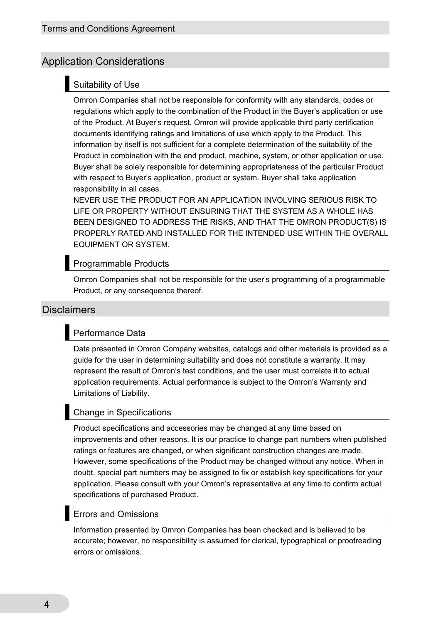#### Application Considerations

#### Suitability of Use

Omron Companies shall not be responsible for conformity with any standards, codes or regulations which apply to the combination of the Product in the Buyer's application or use of the Product. At Buyer's request, Omron will provide applicable third party certification documents identifying ratings and limitations of use which apply to the Product. This information by itself is not sufficient for a complete determination of the suitability of the Product in combination with the end product, machine, system, or other application or use. Buyer shall be solely responsible for determining appropriateness of the particular Product with respect to Buyer's application, product or system. Buyer shall take application responsibility in all cases.

NEVER USE THE PRODUCT FOR AN APPLICATION INVOLVING SERIOUS RISK TO LIFE OR PROPERTY WITHOUT ENSURING THAT THE SYSTEM AS A WHOLE HAS BEEN DESIGNED TO ADDRESS THE RISKS, AND THAT THE OMRON PRODUCT(S) IS PROPERLY RATED AND INSTALLED FOR THE INTENDED USE WITHIN THE OVERALL EQUIPMENT OR SYSTEM.

#### Programmable Products

Omron Companies shall not be responsible for the user's programming of a programmable Product, or any consequence thereof.

#### **Disclaimers**

#### Performance Data

Data presented in Omron Company websites, catalogs and other materials is provided as a guide for the user in determining suitability and does not constitute a warranty. It may represent the result of Omron's test conditions, and the user must correlate it to actual application requirements. Actual performance is subject to the Omron's Warranty and Limitations of Liability.

#### Change in Specifications

Product specifications and accessories may be changed at any time based on improvements and other reasons. It is our practice to change part numbers when published ratings or features are changed, or when significant construction changes are made. However, some specifications of the Product may be changed without any notice. When in doubt, special part numbers may be assigned to fix or establish key specifications for your application. Please consult with your Omron's representative at any time to confirm actual specifications of purchased Product.

#### Errors and Omissions

Information presented by Omron Companies has been checked and is believed to be accurate; however, no responsibility is assumed for clerical, typographical or proofreading errors or omissions.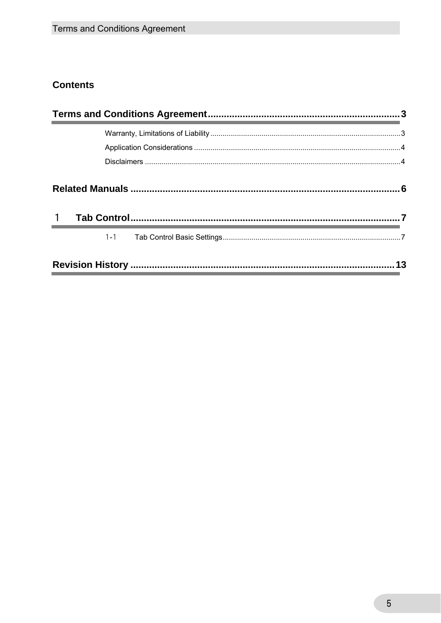#### **Contents**

| $\mathbf{1}$ |         |    |  |
|--------------|---------|----|--|
|              | $1 - 1$ |    |  |
|              |         | 13 |  |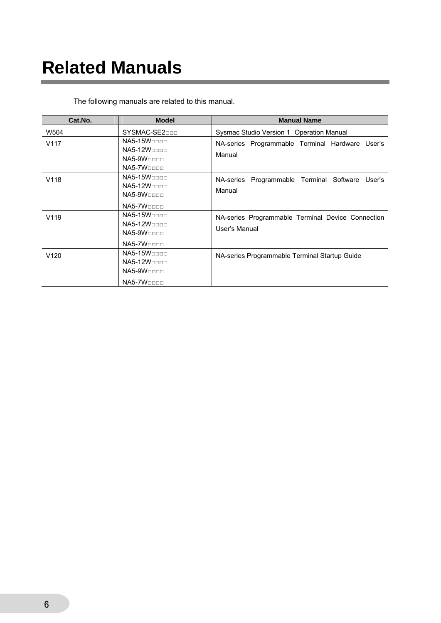## **Related Manuals**

| Cat.No.          | <b>Model</b>                                                                                   | <b>Manual Name</b>                                                 |
|------------------|------------------------------------------------------------------------------------------------|--------------------------------------------------------------------|
| W504             | SYSMAC-SE2DDD                                                                                  | Sysmac Studio Version 1 Operation Manual                           |
| V <sub>117</sub> | $N$ A5-15 $W$ oooo<br>$N$ A5-12W $n$<br>$N$ A5-9 $W$ $\Box$<br>$N$ A5-7 $W$ ooo                | NA-series Programmable Terminal Hardware User's<br>Manual          |
| V118             | $N$ A5-15 $W$ oooo<br><b>NA5-12W</b><br>$N$ A5-9 $W$ $\Box$ $\Box$ $\Box$<br>$N$ A5-7 $W$ oooo | Programmable Terminal Software<br>NA-series<br>User's<br>Manual    |
| V <sub>119</sub> | $N$ A5-15 $W$ oooo<br><b>NA5-12W</b><br>$N$ A5-9 $W$ $\Box$<br>$N$ A5-7 $W$ $\Box$ $\Box$      | NA-series Programmable Terminal Device Connection<br>User's Manual |
| V120             | $N$ A5-15 $W$ oooo<br><b>NA5-12W</b><br>$N$ A5-9 $W$ $\Box$<br>$N$ A5-7 $W$ ooo                | NA-series Programmable Terminal Startup Guide                      |

The following manuals are related to this manual.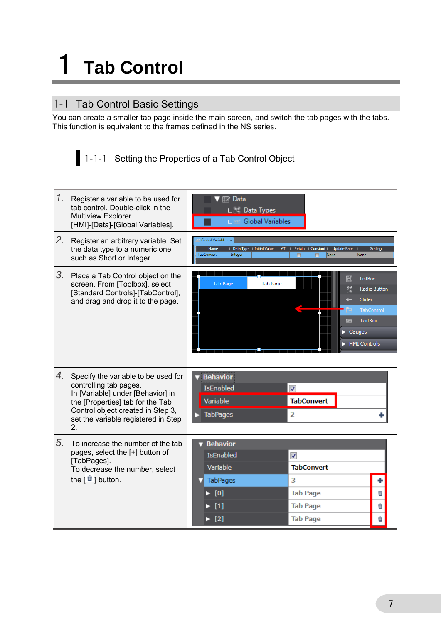# 1 **Tab Control**

### 1-1 Tab Control Basic Settings

You can create a smaller tab page inside the main screen, and switch the tab pages with the tabs. This function is equivalent to the frames defined in the NS series.

|  | 1-1-1 Setting the Properties of a Tab Control Object |
|--|------------------------------------------------------|
|--|------------------------------------------------------|

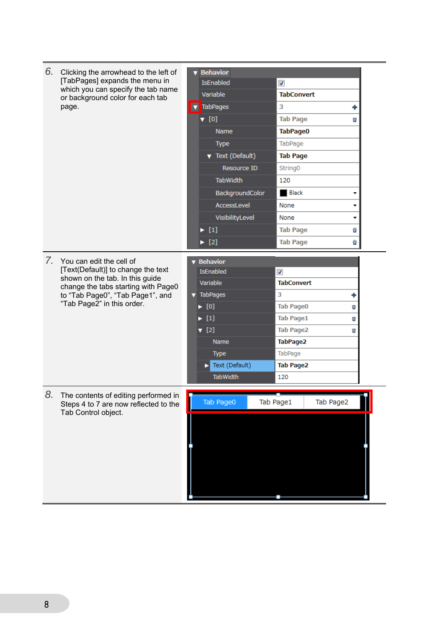| 6. | Clicking the arrowhead to the left of                                                                             |   | <b>v</b> Behavior             |                    |                          |           |  |
|----|-------------------------------------------------------------------------------------------------------------------|---|-------------------------------|--------------------|--------------------------|-----------|--|
|    | [TabPages] expands the menu in<br>which you can specify the tab name<br>or background color for each tab<br>page. |   | <b>IsEnabled</b>              |                    | $\boldsymbol{J}$         |           |  |
|    |                                                                                                                   |   |                               | Variable           | <b>TabConvert</b>        |           |  |
|    |                                                                                                                   | × |                               | <b>TabPages</b>    | 3                        |           |  |
|    |                                                                                                                   |   | $\nabla$ [0]                  |                    | <b>Tab Page</b>          | o         |  |
|    |                                                                                                                   |   |                               | <b>Name</b>        | TabPage0                 |           |  |
|    |                                                                                                                   |   |                               | <b>Type</b>        | TabPage                  |           |  |
|    |                                                                                                                   |   |                               | ▼ Text (Default)   | <b>Tab Page</b>          |           |  |
|    |                                                                                                                   |   |                               | <b>Resource ID</b> | String0                  |           |  |
|    |                                                                                                                   |   |                               | <b>TabWidth</b>    | 120                      |           |  |
|    |                                                                                                                   |   |                               | BackgroundColor    | <b>Black</b>             |           |  |
|    |                                                                                                                   |   |                               | AccessLevel        | None                     |           |  |
|    |                                                                                                                   |   |                               | VisibilityLevel    | None                     | ▼         |  |
|    |                                                                                                                   |   | $\blacktriangleright$ [1]     |                    | <b>Tab Page</b>          | û         |  |
|    |                                                                                                                   |   | $\blacktriangleright$ [2]     |                    | <b>Tab Page</b>          | û         |  |
|    | 7. You can edit the cell of                                                                                       |   | <b>Behavior</b>               |                    |                          |           |  |
|    | [Text(Default)] to change the text                                                                                |   |                               | IsEnabled          | $\overline{\mathcal{J}}$ |           |  |
|    | shown on the tab. In this guide                                                                                   |   | Variable                      |                    | <b>TabConvert</b>        |           |  |
|    | change the tabs starting with Page0<br>to "Tab Page0", "Tab Page1", and                                           |   | $\blacktriangledown$ TabPages |                    | 3                        | ۰         |  |
|    | "Tab Page2" in this order.                                                                                        |   | $\blacktriangleright$ [0]     |                    | <b>Tab Page0</b>         | п         |  |
|    |                                                                                                                   |   | $\blacktriangleright$ [1]     |                    | <b>Tab Page1</b>         | о         |  |
|    |                                                                                                                   |   | $\Psi$ [2]                    |                    | <b>Tab Page2</b>         | Ù         |  |
|    |                                                                                                                   |   |                               | Name               | TabPage2                 |           |  |
|    |                                                                                                                   |   |                               | <b>Type</b>        | TabPage                  |           |  |
|    |                                                                                                                   |   | D                             | Text (Default)     | <b>Tab Page2</b>         |           |  |
|    |                                                                                                                   |   |                               | TabWidth           | 120                      |           |  |
| 8. | The contents of editing performed in                                                                              |   |                               |                    |                          |           |  |
|    | Steps 4 to 7 are now reflected to the                                                                             |   |                               | Tab Page0          | Tab Page1                | Tab Page2 |  |
|    | Tab Control object.                                                                                               |   |                               |                    |                          |           |  |
|    |                                                                                                                   |   |                               |                    |                          |           |  |
|    |                                                                                                                   |   |                               |                    |                          |           |  |
|    |                                                                                                                   |   |                               |                    |                          |           |  |
|    |                                                                                                                   |   |                               |                    |                          |           |  |
|    |                                                                                                                   |   |                               |                    |                          |           |  |
|    |                                                                                                                   |   |                               |                    |                          |           |  |
|    |                                                                                                                   |   |                               |                    |                          |           |  |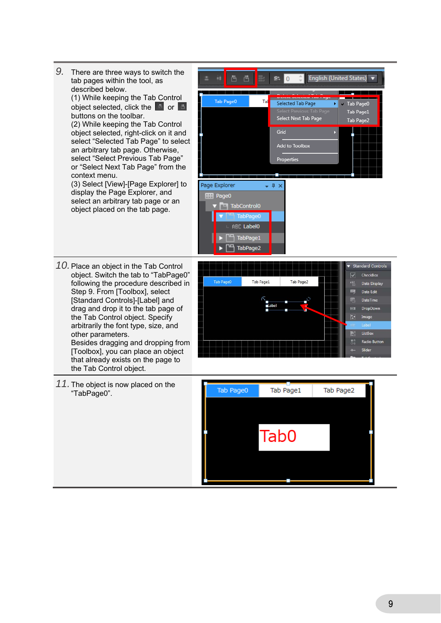- *9.* There are three ways to switch the 百百 **8%** 0 English (United States) à. tab pages within the tool, as described below. (1) While keeping the Tab Control Tab Page0 Tal Selected Tab Page object selected, click the  $\Box$  or  $\Box$ buttons on the toolbar. Select Next Tab Page (2) While keeping the Tab Control Grid object selected, right-click on it and select "Selected Tab Page" to select Add to Toolbox an arbitrary tab page. Otherwise, select "Select Previous Tab Page" Properties or "Select Next Tab Page" from the context menu. (3) Select [View]-[Page Explorer] to Page Explorer  $-9x$ display the Page Explorer, and **HH** Page0 select an arbitrary tab page or an TabControl0 object placed on the tab page. TabPage0 ABC Label0 <sup>um</sup> TabPage1 TabPage2
- *10.* Place an object in the Tab Control object. Switch the tab to "TabPage0" following the procedure described in Step 9. From [Toolbox], select [Standard Controls]-[Label] and drag and drop it to the tab page of the Tab Control object. Specify arbitrarily the font type, size, and other parameters. Besides dragging and dropping from [Toolbox], you can place an object that already exists on the page to the Tab Control object.



Tab Page0 Tab Page1

Tab Page2

*11.* The object is now placed on the "TabPage0".

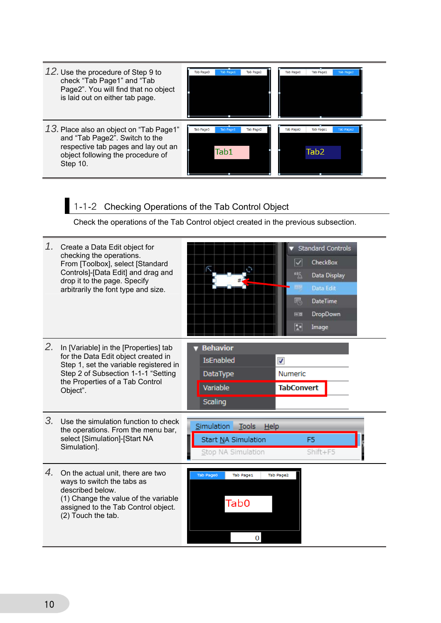| 12. Use the procedure of Step 9 to<br>check "Tab Page1" and "Tab<br>Page2". You will find that no object<br>is laid out on either tab page.                       | Tab Page2<br>Tab Page0<br><b>Tab Page</b>                        | Tab PageO<br>Tab Page:<br><b>Tab Page</b>                 |
|-------------------------------------------------------------------------------------------------------------------------------------------------------------------|------------------------------------------------------------------|-----------------------------------------------------------|
| 13. Place also an object on "Tab Page1"<br>and "Tab Page2". Switch to the<br>respective tab pages and lay out an<br>object following the procedure of<br>Step 10. | <b>Tab Page0</b><br><b>Tab Page2</b><br><b>Tab Page1</b><br>Tab1 | <b>Tab Page:</b><br><b>Tab Page0</b><br>Tab Page.<br>Tab2 |

## 1-1-2 Checking Operations of the Tab Control Object

Check the operations of the Tab Control object created in the previous subsection.

|    | 1. Create a Data Edit object for<br>checking the operations.<br>From [Toolbox], select [Standard<br>Controls]-[Data Edit] and drag and<br>drop it to the page. Specify<br>arbitrarily the font type and size. | <b>Standard Controls</b><br>$\overline{\mathsf{v}}$<br>CheckBox<br>O<br>幅<br>Data Display<br>丽<br>Data Edit<br>喝<br><b>DateTime</b><br>DropDown<br>国内<br>咫<br>Image |
|----|---------------------------------------------------------------------------------------------------------------------------------------------------------------------------------------------------------------|---------------------------------------------------------------------------------------------------------------------------------------------------------------------|
| 2. | In [Variable] in the [Properties] tab<br>for the Data Edit object created in<br>Step 1, set the variable registered in<br>Step 2 of Subsection 1-1-1 "Setting<br>the Properties of a Tab Control<br>Object".  | <b>Behavior</b><br><b>IsEnabled</b><br>√<br>Numeric<br>DataType<br>Variable<br><b>TabConvert</b><br><b>Scaling</b>                                                  |
| 3. | Use the simulation function to check<br>the operations. From the menu bar,<br>select [Simulation]-[Start NA<br>Simulation].                                                                                   | Simulation<br>Tools<br>Help<br>Start NA Simulation<br>F <sub>5</sub><br>$Shift + F5$<br>Stop NA Simulation                                                          |
| 4. | On the actual unit, there are two<br>ways to switch the tabs as<br>described below.<br>(1) Change the value of the variable<br>assigned to the Tab Control object.<br>(2) Touch the tab.                      | Tab Page0<br>Tab Page1<br>Tab Page2<br>Tab0<br>0                                                                                                                    |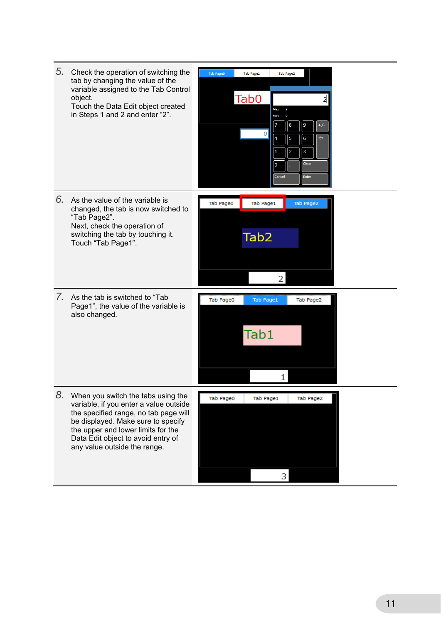| 5. | Check the operation of switching the<br>tab by changing the value of the<br>variable assigned to the Tab Control<br>object.<br>Touch the Data Edit object created<br>in Steps 1 and 2 and enter "2".                                                                    | Tab Page0<br>Tab Page1<br>Tab Page2<br>Tab <sub>0</sub><br>2<br>Max:<br>$\mathbf 0$<br>Min:<br>9<br>8<br>$+/-$<br>7<br> 0 <br>$\Leftrightarrow$<br>$\boldsymbol{6}$<br>4<br>5<br>$\overline{a}$<br>$\overline{\mathbf{3}}$<br>1<br>Clear<br>$\mathbf 0$<br>Cancel<br>Enter |
|----|-------------------------------------------------------------------------------------------------------------------------------------------------------------------------------------------------------------------------------------------------------------------------|----------------------------------------------------------------------------------------------------------------------------------------------------------------------------------------------------------------------------------------------------------------------------|
| 6. | As the value of the variable is<br>changed, the tab is now switched to<br>"Tab Page2".<br>Next, check the operation of<br>switching the tab by touching it.<br>Touch "Tab Page1".                                                                                       | Tab Page0<br>Tab Page1<br>Tab Page2<br>Tab <sub>2</sub><br>2                                                                                                                                                                                                               |
| 7. | As the tab is switched to "Tab<br>Page1", the value of the variable is<br>also changed.                                                                                                                                                                                 | Tab Page0<br>Tab Page2<br>Tab Page1<br>Tab1<br>1                                                                                                                                                                                                                           |
| 8. | When you switch the tabs using the<br>variable, if you enter a value outside<br>the specified range, no tab page will<br>be displayed. Make sure to specify<br>the upper and lower limits for the<br>Data Edit object to avoid entry of<br>any value outside the range. | 3                                                                                                                                                                                                                                                                          |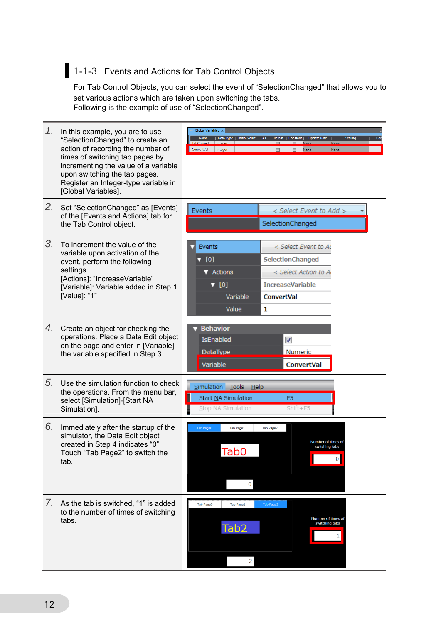### 1-1-3 Events and Actions for Tab Control Objects

For Tab Control Objects, you can select the event of "SelectionChanged" that allows you to set various actions which are taken upon switching the tabs. Following is the example of use of "SelectionChanged".

| 1. | In this example, you are to use<br>"SelectionChanged" to create an<br>action of recording the number of<br>times of switching tab pages by<br>incrementing the value of a variable<br>upon switching the tab pages.<br>Register an Integer-type variable in<br>[Global Variables]. | Global Variables X<br>  Data Type   Initial Value   AT   Retain   Constant   Update Rate  <br><b>Scaling</b><br>Name<br>ConvertVal<br>Integer<br>None<br>None<br>п<br>П.                          |
|----|------------------------------------------------------------------------------------------------------------------------------------------------------------------------------------------------------------------------------------------------------------------------------------|---------------------------------------------------------------------------------------------------------------------------------------------------------------------------------------------------|
| 2. | Set "SelectionChanged" as [Events]<br>of the [Events and Actions] tab for<br>the Tab Control object.                                                                                                                                                                               | Events<br>< Select Event to Add ><br>SelectionChanged                                                                                                                                             |
| 3. | To increment the value of the<br>variable upon activation of the<br>event, perform the following<br>settings.<br>[Actions]: "IncreaseVariable"<br>[Variable]: Variable added in Step 1<br>[Value]: "1"                                                                             | Events<br>< Select Event to Ad<br>$\nabla$ [0]<br>SelectionChanged<br>▼ Actions<br>< Select Action to A<br>$\nabla$ [0]<br><b>IncreaseVariable</b><br><b>ConvertVal</b><br>Variable<br>Value<br>1 |
| 4. | Create an object for checking the<br>operations. Place a Data Edit object<br>on the page and enter in [Variable]<br>the variable specified in Step 3.                                                                                                                              | <b>Behavior</b><br><b>IsEnabled</b><br>√<br><b>Numeric</b><br><b>DataType</b><br>Variable<br><b>ConvertVal</b>                                                                                    |
| 5. | Use the simulation function to check<br>the operations. From the menu bar,<br>select [Simulation]-[Start NA<br>Simulation].                                                                                                                                                        | Simulation Tools<br>He<br>Start NA Simulation<br>F <sub>5</sub><br>Stop NA Simulation<br>$Shift + F5$                                                                                             |
| 6. | Immediately after the startup of the<br>simulator, the Data Edit object<br>created in Step 4 indicates "0".<br>Touch "Tab Page2" to switch the<br>tab.                                                                                                                             | <b>Tab Page0</b><br><b>Tab Page1</b><br>Tab Page2<br>Number of times of<br>switching tabs<br>Tab0<br> 0 <br>0                                                                                     |
|    | 7. As the tab is switched, "1" is added<br>to the number of times of switching<br>tabs.                                                                                                                                                                                            | <b>Tab Page0</b><br><b>Tab Page2</b><br><b>Tab Page1</b><br>Number of times of<br>switching tabs<br>Tab <sub>2</sub><br>1<br>$\overline{2}$                                                       |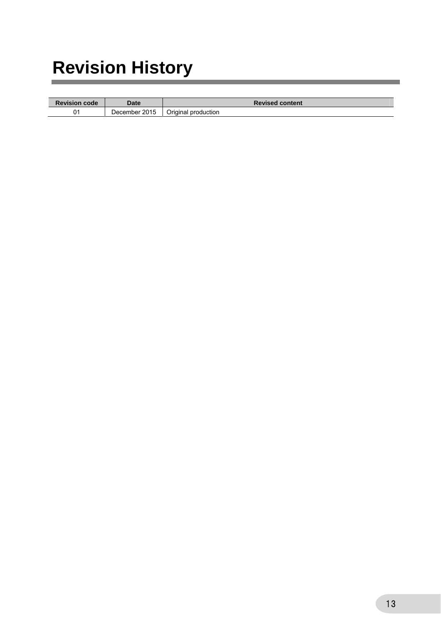# **Revision History**

| <b>Revision code</b> | Date          | <b>Revised content</b> |
|----------------------|---------------|------------------------|
| 01                   | December 2015 | Original production    |